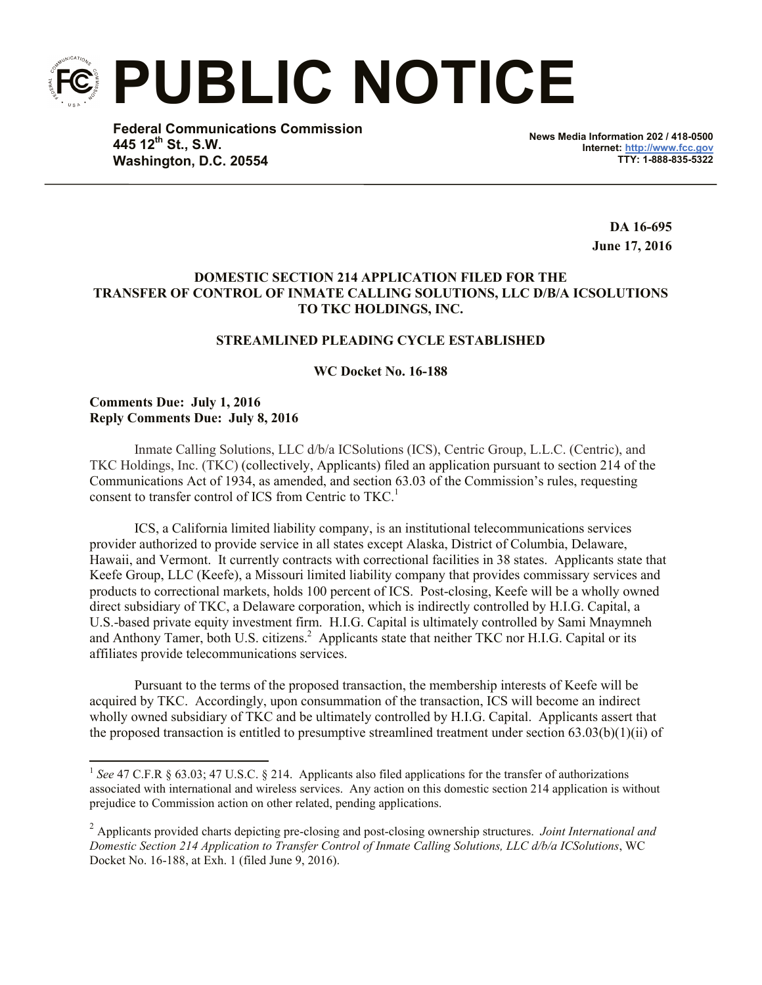**PUBLIC NOTICE**

**Federal Communications Commission 445 12th St., S.W. Washington, D.C. 20554**

**News Media Information 202 / 418-0500 Internet: http://www.fcc.gov TTY: 1-888-835-5322**

> **DA 16-695 June 17, 2016**

# **DOMESTIC SECTION 214 APPLICATION FILED FOR THE TRANSFER OF CONTROL OF INMATE CALLING SOLUTIONS, LLC D/B/A ICSOLUTIONS TO TKC HOLDINGS, INC.**

## **STREAMLINED PLEADING CYCLE ESTABLISHED**

### **WC Docket No. 16-188**

### **Comments Due: July 1, 2016 Reply Comments Due: July 8, 2016**

l

Inmate Calling Solutions, LLC d/b/a ICSolutions (ICS), Centric Group, L.L.C. (Centric), and TKC Holdings, Inc. (TKC) (collectively, Applicants) filed an application pursuant to section 214 of the Communications Act of 1934, as amended, and section 63.03 of the Commission's rules, requesting consent to transfer control of ICS from Centric to TKC. 1

ICS, a California limited liability company, is an institutional telecommunications services provider authorized to provide service in all states except Alaska, District of Columbia, Delaware, Hawaii, and Vermont. It currently contracts with correctional facilities in 38 states. Applicants state that Keefe Group, LLC (Keefe), a Missouri limited liability company that provides commissary services and products to correctional markets, holds 100 percent of ICS. Post-closing, Keefe will be a wholly owned direct subsidiary of TKC, a Delaware corporation, which is indirectly controlled by H.I.G. Capital, a U.S.-based private equity investment firm. H.I.G. Capital is ultimately controlled by Sami Mnaymneh and Anthony Tamer, both U.S. citizens.<sup>2</sup> Applicants state that neither TKC nor H.I.G. Capital or its affiliates provide telecommunications services.

Pursuant to the terms of the proposed transaction, the membership interests of Keefe will be acquired by TKC. Accordingly, upon consummation of the transaction, ICS will become an indirect wholly owned subsidiary of TKC and be ultimately controlled by H.I.G. Capital. Applicants assert that the proposed transaction is entitled to presumptive streamlined treatment under section 63.03(b)(1)(ii) of

<sup>&</sup>lt;sup>1</sup> See 47 C.F.R § 63.03; 47 U.S.C. § 214. Applicants also filed applications for the transfer of authorizations associated with international and wireless services. Any action on this domestic section 214 application is without prejudice to Commission action on other related, pending applications.

<sup>2</sup> Applicants provided charts depicting pre-closing and post-closing ownership structures. *Joint International and Domestic Section 214 Application to Transfer Control of Inmate Calling Solutions, LLC d/b/a ICSolutions*, WC Docket No. 16-188, at Exh. 1 (filed June 9, 2016).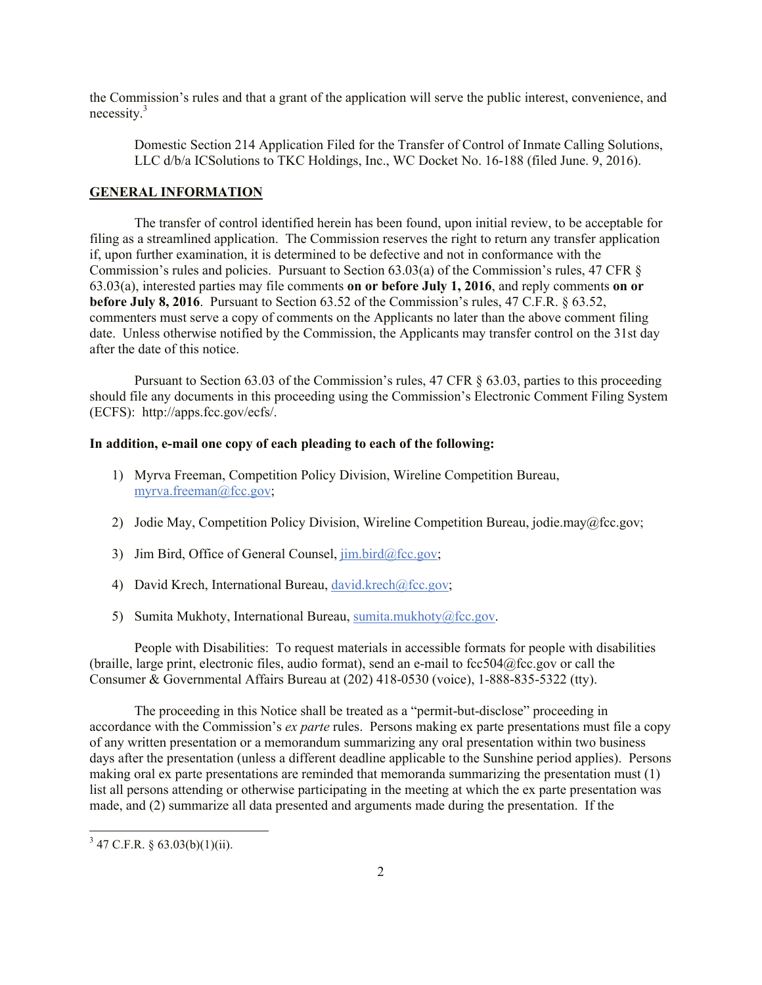the Commission's rules and that a grant of the application will serve the public interest, convenience, and necessity. $3$ 

Domestic Section 214 Application Filed for the Transfer of Control of Inmate Calling Solutions, LLC d/b/a ICSolutions to TKC Holdings, Inc., WC Docket No. 16-188 (filed June. 9, 2016).

#### **GENERAL INFORMATION**

The transfer of control identified herein has been found, upon initial review, to be acceptable for filing as a streamlined application. The Commission reserves the right to return any transfer application if, upon further examination, it is determined to be defective and not in conformance with the Commission's rules and policies. Pursuant to Section 63.03(a) of the Commission's rules, 47 CFR § 63.03(a), interested parties may file comments **on or before July 1, 2016**, and reply comments **on or before July 8, 2016**. Pursuant to Section 63.52 of the Commission's rules, 47 C.F.R. § 63.52, commenters must serve a copy of comments on the Applicants no later than the above comment filing date. Unless otherwise notified by the Commission, the Applicants may transfer control on the 31st day after the date of this notice.

Pursuant to Section 63.03 of the Commission's rules, 47 CFR  $\S$  63.03, parties to this proceeding should file any documents in this proceeding using the Commission's Electronic Comment Filing System (ECFS): http://apps.fcc.gov/ecfs/.

### **In addition, e-mail one copy of each pleading to each of the following:**

- 1) Myrva Freeman, Competition Policy Division, Wireline Competition Bureau, myrva.freeman@fcc.gov;
- 2) Jodie May, Competition Policy Division, Wireline Competition Bureau, jodie.may@fcc.gov;
- 3) Jim Bird, Office of General Counsel, jim.bird@fcc.gov;
- 4) David Krech, International Bureau, david.krech@fcc.gov;
- 5) Sumita Mukhoty, International Bureau, sumita.mukhoty@fcc.gov.

People with Disabilities: To request materials in accessible formats for people with disabilities (braille, large print, electronic files, audio format), send an e-mail to  $fcc504@$ fcc.gov or call the Consumer & Governmental Affairs Bureau at (202) 418-0530 (voice), 1-888-835-5322 (tty).

The proceeding in this Notice shall be treated as a "permit-but-disclose" proceeding in accordance with the Commission's *ex parte* rules. Persons making ex parte presentations must file a copy of any written presentation or a memorandum summarizing any oral presentation within two business days after the presentation (unless a different deadline applicable to the Sunshine period applies). Persons making oral ex parte presentations are reminded that memoranda summarizing the presentation must (1) list all persons attending or otherwise participating in the meeting at which the ex parte presentation was made, and (2) summarize all data presented and arguments made during the presentation. If the

l

 $3\,$  47 C.F.R. § 63.03(b)(1)(ii).